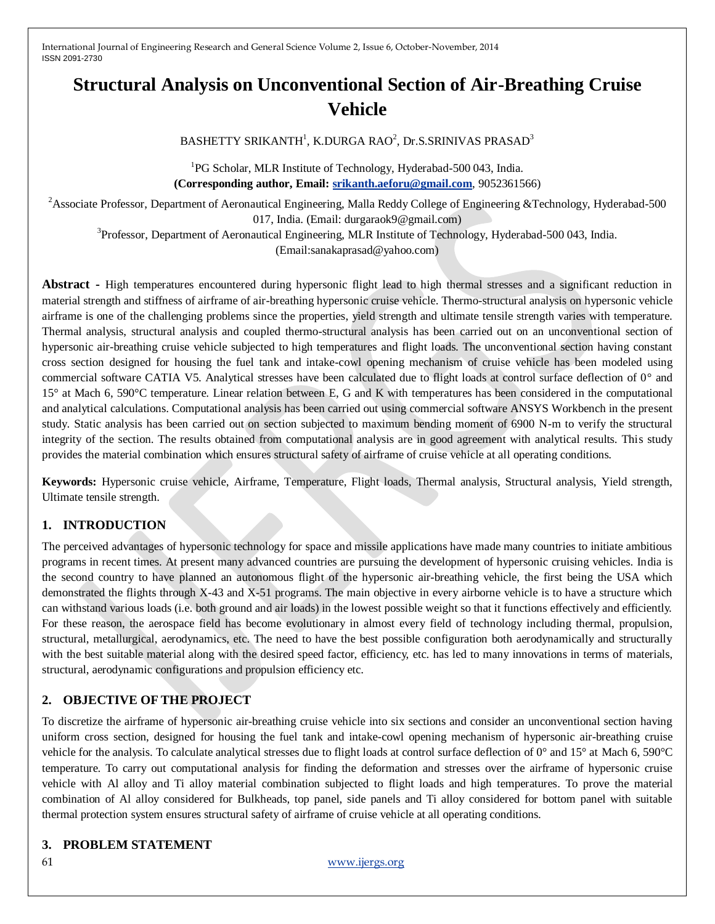# **Structural Analysis on Unconventional Section of Air-Breathing Cruise Vehicle**

# $\mathrm{BASHETTY}$  SRIKANTH $^1$ , K.DURGA RAO $^2$ , Dr.S.SRINIVAS PRASAD $^3$

<sup>1</sup>PG Scholar, MLR Institute of Technology, Hyderabad-500 043, India. **(Corresponding author, Email: [srikanth.aeforu@gmail.com](mailto:srikanth.aeforu@gmail.com)**, 9052361566)

<sup>2</sup>Associate Professor, Department of Aeronautical Engineering, Malla Reddy College of Engineering &Technology, Hyderabad-500 017, India. (Email: durgaraok9@gmail.com)

<sup>3</sup>Professor, Department of Aeronautical Engineering, MLR Institute of Technology, Hyderabad-500 043, India.

(Email:sanakaprasad@yahoo.com)

**Abstract -** High temperatures encountered during hypersonic flight lead to high thermal stresses and a significant reduction in material strength and stiffness of airframe of air-breathing hypersonic cruise vehicle. Thermo-structural analysis on hypersonic vehicle airframe is one of the challenging problems since the properties, yield strength and ultimate tensile strength varies with temperature. Thermal analysis, structural analysis and coupled thermo-structural analysis has been carried out on an unconventional section of hypersonic air-breathing cruise vehicle subjected to high temperatures and flight loads. The unconventional section having constant cross section designed for housing the fuel tank and intake-cowl opening mechanism of cruise vehicle has been modeled using commercial software CATIA V5. Analytical stresses have been calculated due to flight loads at control surface deflection of 0° and 15° at Mach 6, 590°C temperature. Linear relation between E, G and K with temperatures has been considered in the computational and analytical calculations. Computational analysis has been carried out using commercial software ANSYS Workbench in the present study. Static analysis has been carried out on section subjected to maximum bending moment of 6900 N-m to verify the structural integrity of the section. The results obtained from computational analysis are in good agreement with analytical results. This study provides the material combination which ensures structural safety of airframe of cruise vehicle at all operating conditions.

**Keywords:** Hypersonic cruise vehicle, Airframe, Temperature, Flight loads, Thermal analysis, Structural analysis, Yield strength, Ultimate tensile strength.

# **1. INTRODUCTION**

The perceived advantages of hypersonic technology for space and missile applications have made many countries to initiate ambitious programs in recent times. At present many advanced countries are pursuing the development of hypersonic cruising vehicles. India is the second country to have planned an autonomous flight of the hypersonic air-breathing vehicle, the first being the USA which demonstrated the flights through X-43 and X-51 programs. The main objective in every airborne vehicle is to have a structure which can withstand various loads (i.e. both ground and air loads) in the lowest possible weight so that it functions effectively and efficiently. For these reason, the aerospace field has become evolutionary in almost every field of technology including thermal, propulsion, structural, metallurgical, aerodynamics, etc. The need to have the best possible configuration both aerodynamically and structurally with the best suitable material along with the desired speed factor, efficiency, etc. has led to many innovations in terms of materials, structural, aerodynamic configurations and propulsion efficiency etc.

# **2. OBJECTIVE OF THE PROJECT**

To discretize the airframe of hypersonic air-breathing cruise vehicle into six sections and consider an unconventional section having uniform cross section, designed for housing the fuel tank and intake-cowl opening mechanism of hypersonic air-breathing cruise vehicle for the analysis. To calculate analytical stresses due to flight loads at control surface deflection of 0° and 15° at Mach 6, 590°C temperature. To carry out computational analysis for finding the deformation and stresses over the airframe of hypersonic cruise vehicle with Al alloy and Ti alloy material combination subjected to flight loads and high temperatures. To prove the material combination of Al alloy considered for Bulkheads, top panel, side panels and Ti alloy considered for bottom panel with suitable thermal protection system ensures structural safety of airframe of cruise vehicle at all operating conditions.

# **3. PROBLEM STATEMENT**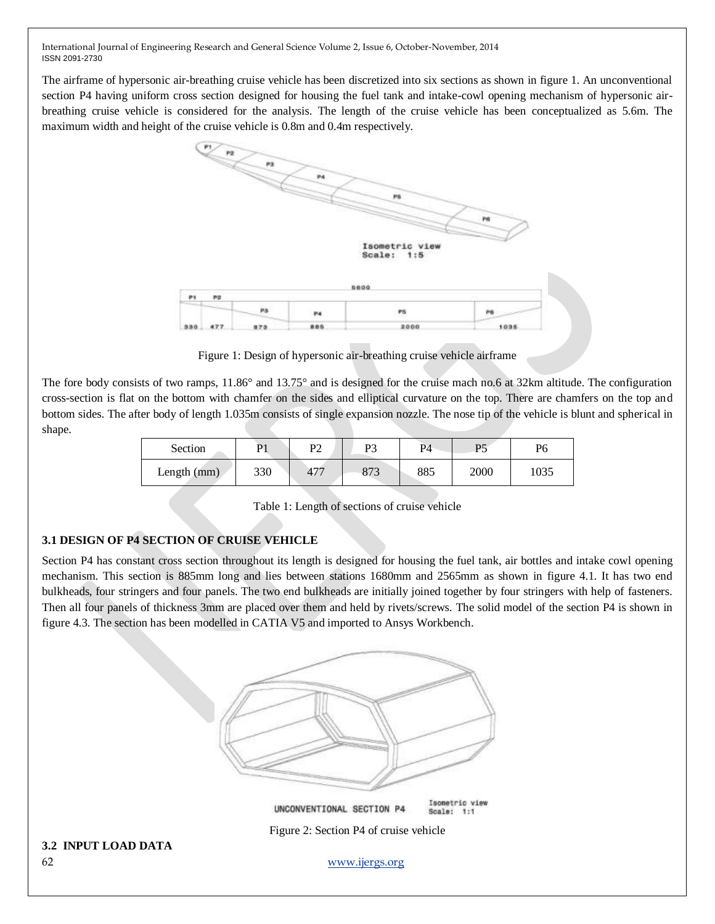The airframe of hypersonic air-breathing cruise vehicle has been discretized into six sections as shown in figure 1. An unconventional section P4 having uniform cross section designed for housing the fuel tank and intake-cowl opening mechanism of hypersonic airbreathing cruise vehicle is considered for the analysis. The length of the cruise vehicle has been conceptualized as 5.6m. The maximum width and height of the cruise vehicle is 0.8m and 0.4m respectively.



Figure 1: Design of hypersonic air-breathing cruise vehicle airframe

The fore body consists of two ramps, 11.86° and 13.75° and is designed for the cruise mach no.6 at 32km altitude. The configuration cross-section is flat on the bottom with chamfer on the sides and elliptical curvature on the top. There are chamfers on the top and bottom sides. The after body of length 1.035m consists of single expansion nozzle. The nose tip of the vehicle is blunt and spherical in shape.

| Section     | D1  | D٦<br>⊥ ∠ | D2  | P4  | D5   | P6   |
|-------------|-----|-----------|-----|-----|------|------|
| Length (mm) | 330 | 477       | 873 | 885 | 2000 | 1035 |

Table 1: Length of sections of cruise vehicle

# **3.1 DESIGN OF P4 SECTION OF CRUISE VEHICLE**

Section P4 has constant cross section throughout its length is designed for housing the fuel tank, air bottles and intake cowl opening mechanism. This section is 885mm long and lies between stations 1680mm and 2565mm as shown in figure 4.1. It has two end bulkheads, four stringers and four panels. The two end bulkheads are initially joined together by four stringers with help of fasteners. Then all four panels of thickness 3mm are placed over them and held by rivets/screws. The solid model of the section P4 is shown in figure 4.3. The section has been modelled in CATIA V5 and imported to Ansys Workbench.

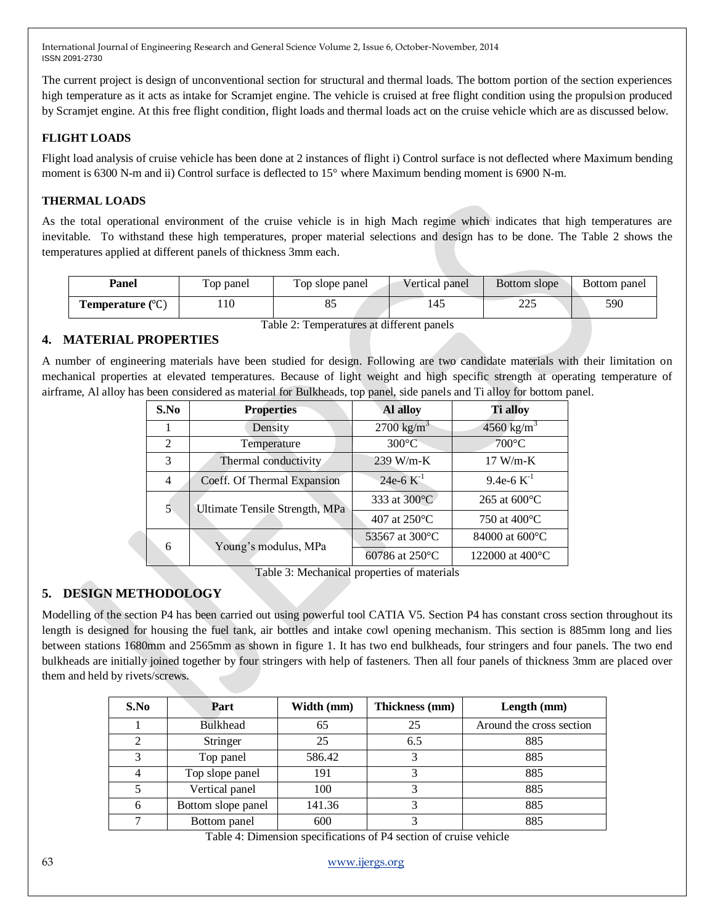The current project is design of unconventional section for structural and thermal loads. The bottom portion of the section experiences high temperature as it acts as intake for Scramjet engine. The vehicle is cruised at free flight condition using the propulsion produced by Scramjet engine. At this free flight condition, flight loads and thermal loads act on the cruise vehicle which are as discussed below.

# **FLIGHT LOADS**

Flight load analysis of cruise vehicle has been done at 2 instances of flight i) Control surface is not deflected where Maximum bending moment is 6300 N-m and ii) Control surface is deflected to 15° where Maximum bending moment is 6900 N-m.

# **THERMAL LOADS**

As the total operational environment of the cruise vehicle is in high Mach regime which indicates that high temperatures are inevitable. To withstand these high temperatures, proper material selections and design has to be done. The Table 2 shows the temperatures applied at different panels of thickness 3mm each.

| Panel                                     | Top panel | Top slope panel | Vertical panel | Bottom slope | Bottom panel |  |  |
|-------------------------------------------|-----------|-----------------|----------------|--------------|--------------|--|--|
| <b>Temperature</b> $(^{\circ}C)$          | 10        |                 | 145            | 225          | 590          |  |  |
| Table 2: Temperatures at different panels |           |                 |                |              |              |  |  |

# **4. MATERIAL PROPERTIES**

A number of engineering materials have been studied for design. Following are two candidate materials with their limitation on mechanical properties at elevated temperatures. Because of light weight and high specific strength at operating temperature of airframe, Al alloy has been considered as material for Bulkheads, top panel, side panels and Ti alloy for bottom panel.

| S.No           | <b>Properties</b>              | Al alloy                 | <b>Ti</b> alloy           |
|----------------|--------------------------------|--------------------------|---------------------------|
|                | Density                        | $2700 \text{ kg/m}^3$    | 4560 kg/m <sup>3</sup>    |
| 2              | Temperature                    | $300^{\circ}$ C          | $700^{\circ}$ C           |
| 3              | Thermal conductivity           | $239$ W/m-K              | $17 W/m-K$                |
| $\overline{4}$ | Coeff. Of Thermal Expansion    | 24e-6 $K^{-1}$           | 9.4e-6 $K^{-1}$           |
| 5              | Ultimate Tensile Strength, MPa | 333 at 300°C             | 265 at $600^{\circ}$ C    |
|                |                                | 407 at 250°C             | 750 at $400^{\circ}$ C    |
| 6              |                                | 53567 at 300 °C          | 84000 at 600 °C           |
|                | Young's modulus, MPa           | 60786 at $250^{\circ}$ C | 122000 at $400^{\circ}$ C |

Table 3: Mechanical properties of materials

# **5. DESIGN METHODOLOGY**

Modelling of the section P4 has been carried out using powerful tool CATIA V5. Section P4 has constant cross section throughout its length is designed for housing the fuel tank, air bottles and intake cowl opening mechanism. This section is 885mm long and lies between stations 1680mm and 2565mm as shown in figure 1. It has two end bulkheads, four stringers and four panels. The two end bulkheads are initially joined together by four stringers with help of fasteners. Then all four panels of thickness 3mm are placed over them and held by rivets/screws.

| S.No          | Part               | Width (mm) | Thickness (mm) | Length (mm)              |
|---------------|--------------------|------------|----------------|--------------------------|
|               | <b>Bulkhead</b>    | 65         | 25             | Around the cross section |
| $\mathcal{D}$ | Stringer           | 25         | 6.5            | 885                      |
| 3             | Top panel          | 586.42     | 3              | 885                      |
|               | Top slope panel    | 191        | 3              | 885                      |
|               | Vertical panel     | 100        |                | 885                      |
| 6             | Bottom slope panel | 141.36     |                | 885                      |
|               | Bottom panel       | 600        |                | 885                      |

Table 4: Dimension specifications of P4 section of cruise vehicle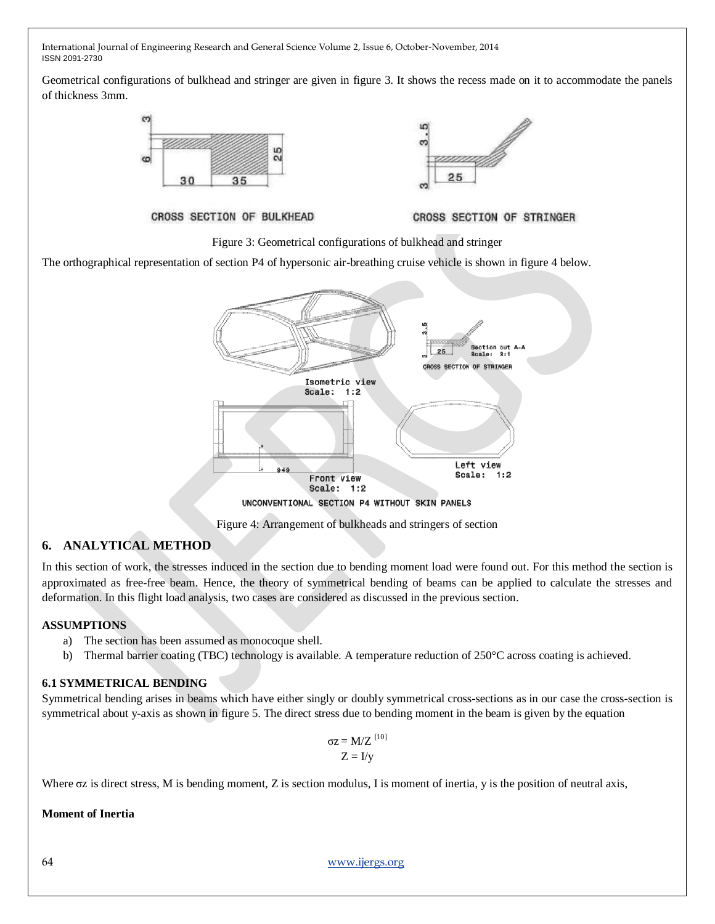Geometrical configurations of bulkhead and stringer are given in figure 3. It shows the recess made on it to accommodate the panels of thickness 3mm.





#### CROSS SECTION OF BULKHEAD

#### CROSS SECTION OF STRINGER

Figure 3: Geometrical configurations of bulkhead and stringer

The orthographical representation of section P4 of hypersonic air-breathing cruise vehicle is shown in figure 4 below.



Figure 4: Arrangement of bulkheads and stringers of section

# **6. ANALYTICAL METHOD**

In this section of work, the stresses induced in the section due to bending moment load were found out. For this method the section is approximated as free-free beam. Hence, the theory of symmetrical bending of beams can be applied to calculate the stresses and deformation. In this flight load analysis, two cases are considered as discussed in the previous section.

# **ASSUMPTIONS**

- a) The section has been assumed as monocoque shell.
- b) Thermal barrier coating (TBC) technology is available. A temperature reduction of 250°C across coating is achieved.

# **6.1 SYMMETRICAL BENDING**

Symmetrical bending arises in beams which have either singly or doubly symmetrical cross-sections as in our case the cross-section is symmetrical about y-axis as shown in figure 5. The direct stress due to bending moment in the beam is given by the equation

$$
\sigma z = M/Z^{[10]} Z = I/y
$$

Where σz is direct stress, M is bending moment, Z is section modulus, I is moment of inertia, y is the position of neutral axis,

**Moment of Inertia**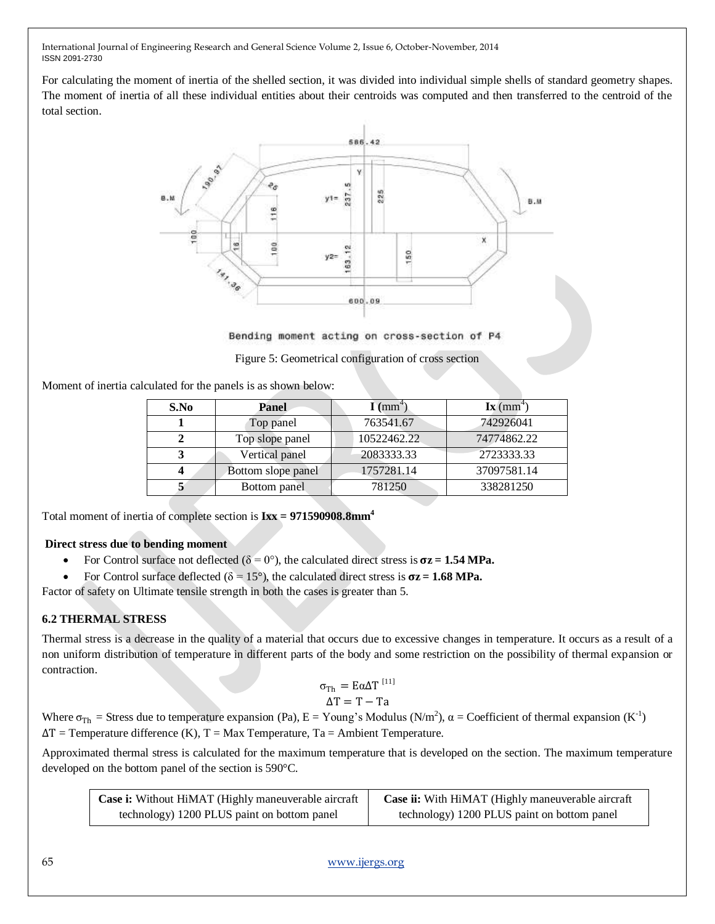For calculating the moment of inertia of the shelled section, it was divided into individual simple shells of standard geometry shapes. The moment of inertia of all these individual entities about their centroids was computed and then transferred to the centroid of the total section.



Bending moment acting on cross-section of P4

Figure 5: Geometrical configuration of cross section

Moment of inertia calculated for the panels is as shown below:

| S.No | Panel              | $\mathbf{I}$ (mm <sup>+</sup> ) | $\mathbf{I}\mathbf{x}$ (mm <sup>4</sup> ) |
|------|--------------------|---------------------------------|-------------------------------------------|
|      | Top panel          | 763541.67                       | 742926041                                 |
|      | Top slope panel    | 10522462.22                     | 74774862.22                               |
|      | Vertical panel     | 2083333.33                      | 2723333.33                                |
| Δ    | Bottom slope panel | 1757281.14                      | 37097581.14                               |
|      | Bottom panel       | 781250                          | 338281250                                 |

Total moment of inertia of complete section is **Ixx = 971590908.8mm<sup>4</sup>**

# **Direct stress due to bending moment**

- For Control surface not deflected  $(\delta = 0^{\circ})$ , the calculated direct stress is  $\sigma z = 1.54 \text{ MPa}$ .
- For Control surface deflected ( $\delta = 15^{\circ}$ ), the calculated direct stress is  $\sigma z = 1.68 \text{ MPa}$ .

Factor of safety on Ultimate tensile strength in both the cases is greater than 5.

# **6.2 THERMAL STRESS**

Thermal stress is a decrease in the quality of a material that occurs due to excessive changes in temperature. It occurs as a result of a non uniform distribution of temperature in different parts of the body and some restriction on the possibility of thermal expansion or contraction.

$$
\sigma_{\text{Th}} = \text{E}\alpha\Delta T^{[11]}
$$

$$
\Delta T = T - Ta
$$

Where  $\sigma_{\text{Th}}$  = Stress due to temperature expansion (Pa), E = Young's Modulus (N/m<sup>2</sup>),  $\alpha$  = Coefficient of thermal expansion (K<sup>-1</sup>)  $\Delta T$  = Temperature difference (K), T = Max Temperature, Ta = Ambient Temperature.

Approximated thermal stress is calculated for the maximum temperature that is developed on the section. The maximum temperature developed on the bottom panel of the section is 590°C.

| Case i: Without HiMAT (Highly maneuverable aircraft | Case ii: With HiMAT (Highly maneuverable aircraft |  |  |
|-----------------------------------------------------|---------------------------------------------------|--|--|
| technology) 1200 PLUS paint on bottom panel         | technology) 1200 PLUS paint on bottom panel       |  |  |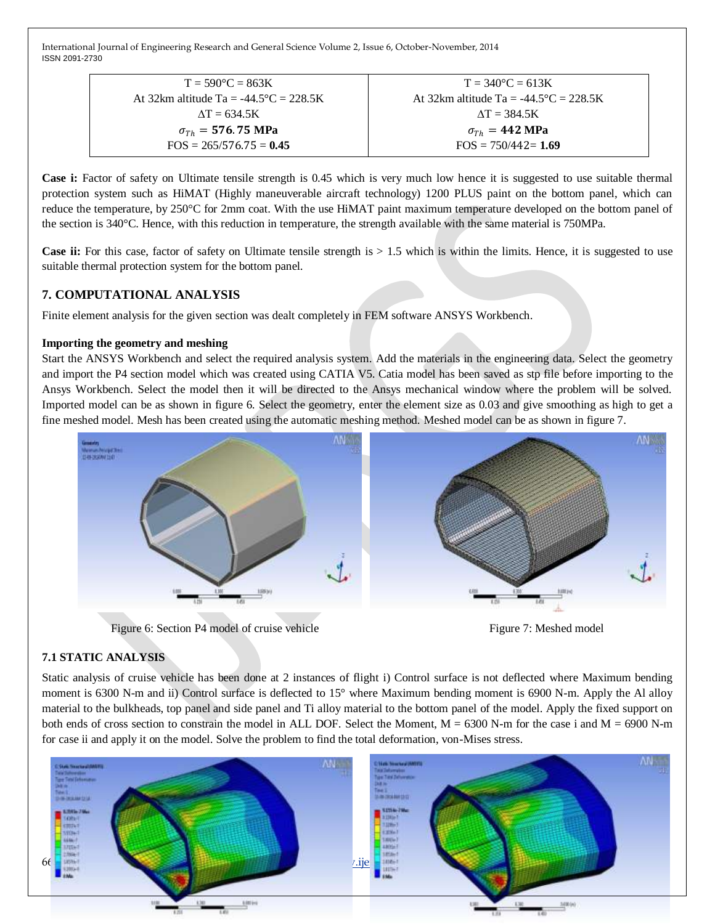| $T = 590^{\circ}C = 863K$                       | $T = 340^{\circ}C = 613K$                        |
|-------------------------------------------------|--------------------------------------------------|
| At 32km altitude Ta = $-44.5^{\circ}C = 228.5K$ | At 32km altitude Ta = $-44.5^{\circ}$ C = 228.5K |
| $\Delta T = 634.5K$                             | $\Delta T = 384.5K$                              |
| $\sigma_{Th} = 576.75 \text{ MPa}$              | $\sigma_{Th} = 442 \text{ MPa}$                  |
| $FOS = 265/576.75 = 0.45$                       | $FOS = 750/442 = 1.69$                           |
|                                                 |                                                  |

**Case i:** Factor of safety on Ultimate tensile strength is 0.45 which is very much low hence it is suggested to use suitable thermal protection system such as HiMAT (Highly maneuverable aircraft technology) 1200 PLUS paint on the bottom panel, which can reduce the temperature, by 250°C for 2mm coat. With the use HiMAT paint maximum temperature developed on the bottom panel of the section is 340°C. Hence, with this reduction in temperature, the strength available with the same material is 750MPa.

**Case ii:** For this case, factor of safety on Ultimate tensile strength is  $> 1.5$  which is within the limits. Hence, it is suggested to use suitable thermal protection system for the bottom panel.

# **7. COMPUTATIONAL ANALYSIS**

Finite element analysis for the given section was dealt completely in FEM software ANSYS Workbench.

### **Importing the geometry and meshing**

Start the ANSYS Workbench and select the required analysis system. Add the materials in the engineering data. Select the geometry and import the P4 section model which was created using CATIA V5. Catia model has been saved as stp file before importing to the Ansys Workbench. Select the model then it will be directed to the Ansys mechanical window where the problem will be solved. Imported model can be as shown in figure 6. Select the geometry, enter the element size as 0.03 and give smoothing as high to get a fine meshed model. Mesh has been created using the automatic meshing method. Meshed model can be as shown in figure 7.



Figure 6: Section P4 model of cruise vehicle Figure 7: Meshed model

# **7.1 STATIC ANALYSIS**

Static analysis of cruise vehicle has been done at 2 instances of flight i) Control surface is not deflected where Maximum bending moment is 6300 N-m and ii) Control surface is deflected to 15° where Maximum bending moment is 6900 N-m. Apply the Al alloy material to the bulkheads, top panel and side panel and Ti alloy material to the bottom panel of the model. Apply the fixed support on both ends of cross section to constrain the model in ALL DOF. Select the Moment,  $M = 6300$  N-m for the case i and  $M = 6900$  N-m for case ii and apply it on the model. Solve the problem to find the total deformation, von-Mises stress.

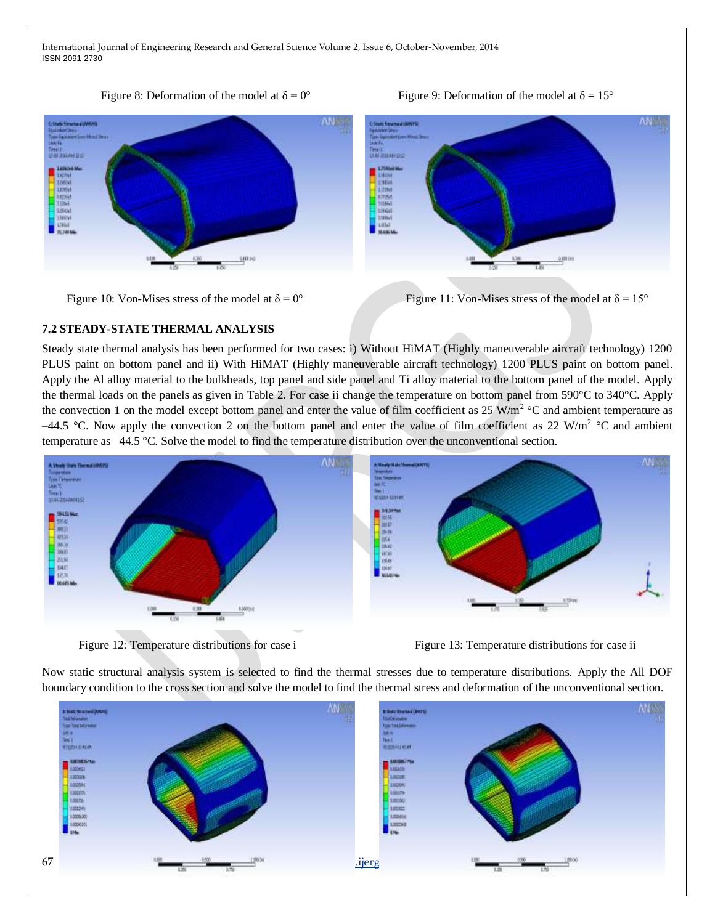#### Figure 8: Deformation of the model at  $\delta = 0^{\circ}$  Figure 9: Deformation of the model at  $\delta = 15^{\circ}$

**AN** 





Figure 10: Von-Mises stress of the model at  $\delta = 0^{\circ}$  Figure 11: Von-Mises stress of the model at  $\delta = 15^{\circ}$ 

# **7.2 STEADY-STATE THERMAL ANALYSIS**

Steady state thermal analysis has been performed for two cases: i) Without HiMAT (Highly maneuverable aircraft technology) 1200 PLUS paint on bottom panel and ii) With HiMAT (Highly maneuverable aircraft technology) 1200 PLUS paint on bottom panel. Apply the Al alloy material to the bulkheads, top panel and side panel and Ti alloy material to the bottom panel of the model. Apply the thermal loads on the panels as given in Table 2. For case ii change the temperature on bottom panel from 590°C to 340°C. Apply the convection 1 on the model except bottom panel and enter the value of film coefficient as  $25 \text{ W/m}^2$  °C and ambient temperature as –44.5 °C. Now apply the convection 2 on the bottom panel and enter the value of film coefficient as 22 W/m<sup>2</sup> °C and ambient temperature as –44.5 °C. Solve the model to find the temperature distribution over the unconventional section.



Figure 12: Temperature distributions for case i Figure 13: Temperature distributions for case ii

Now static structural analysis system is selected to find the thermal stresses due to temperature distributions. Apply the All DOF boundary condition to the cross section and solve the model to find the thermal stress and deformation of the unconventional section.

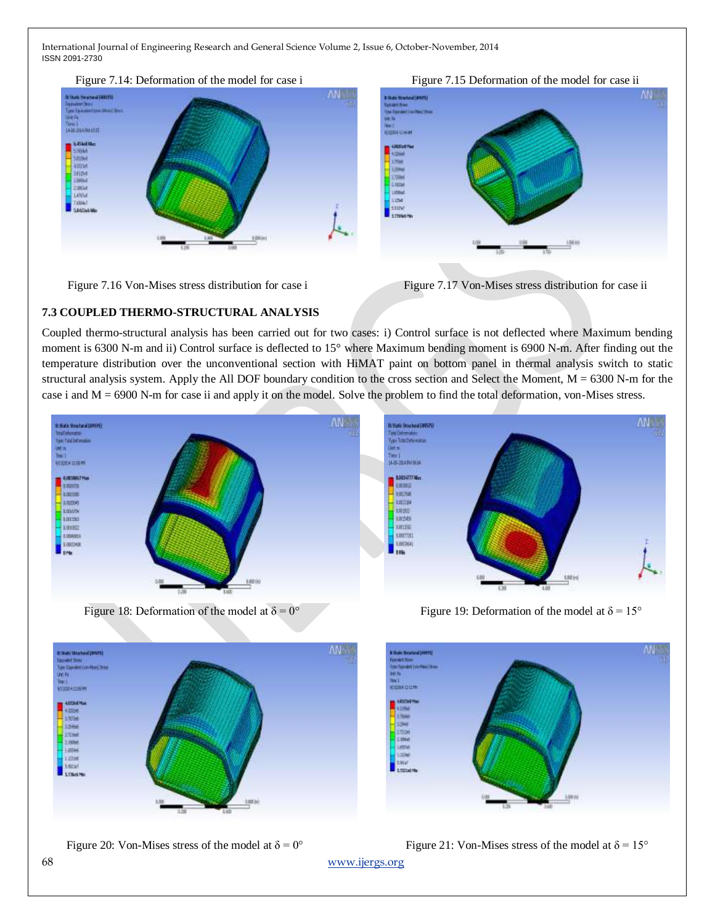









# **7.3 COUPLED THERMO-STRUCTURAL ANALYSIS**

Coupled thermo-structural analysis has been carried out for two cases: i) Control surface is not deflected where Maximum bending moment is 6300 N-m and ii) Control surface is deflected to 15° where Maximum bending moment is 6900 N-m. After finding out the temperature distribution over the unconventional section with HiMAT paint on bottom panel in thermal analysis switch to static structural analysis system. Apply the All DOF boundary condition to the cross section and Select the Moment,  $M = 6300$  N-m for the case i and M = 6900 N-m for case ii and apply it on the model. Solve the problem to find the total deformation, von-Mises stress.



Figure 18: Deformation of the model at  $\delta = 0^{\circ}$  Figure 19: Deformation of the model at  $\delta = 15^{\circ}$ 







Figure 20: Von-Mises stress of the model at  $\delta = 0^{\circ}$  Figure 21: Von-Mises stress of the model at  $\delta = 15^{\circ}$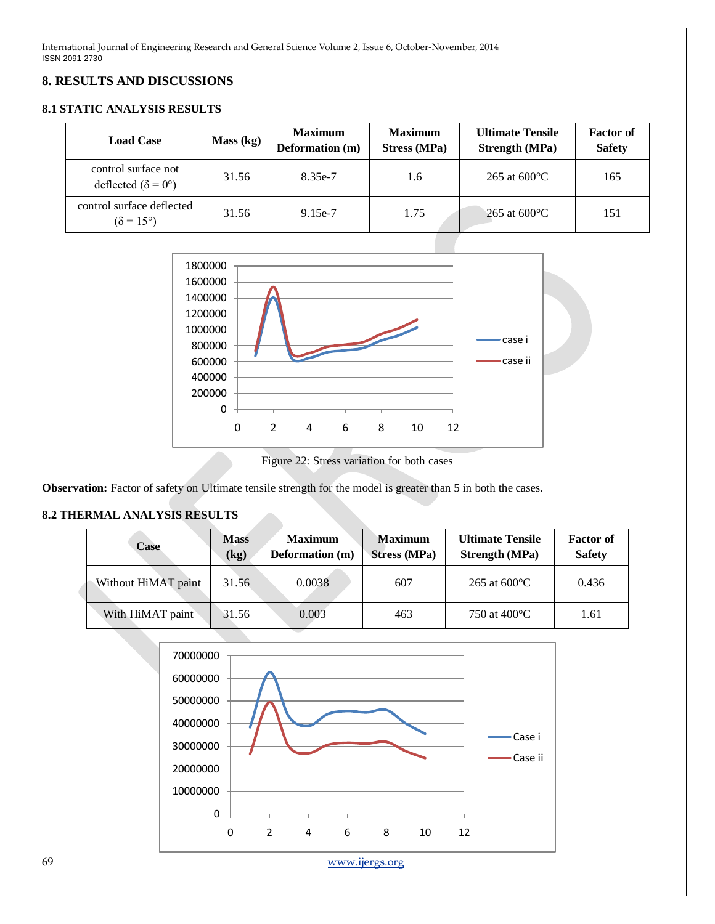# **8. RESULTS AND DISCUSSIONS**

# **8.1 STATIC ANALYSIS RESULTS**

| <b>Load Case</b>                                          | Mass (kg) | <b>Maximum</b><br>Deformation (m) | <b>Maximum</b><br><b>Stress (MPa)</b> | <b>Ultimate Tensile</b><br><b>Strength (MPa)</b> | <b>Factor of</b><br><b>Safety</b> |
|-----------------------------------------------------------|-----------|-----------------------------------|---------------------------------------|--------------------------------------------------|-----------------------------------|
| control surface not<br>deflected ( $\delta = 0^{\circ}$ ) | 31.56     | 8.35e-7                           | 1.6                                   | 265 at $600^{\circ}$ C                           | 165                               |
| control surface deflected<br>$(\delta = 15^{\circ})$      | 31.56     | $9.15e-7$                         | 1.75                                  | 265 at $600^{\circ}$ C                           | 151                               |



Figure 22: Stress variation for both cases

**Observation:** Factor of safety on Ultimate tensile strength for the model is greater than 5 in both the cases.

#### **8.2 THERMAL ANALYSIS RESULTS**

| Case                | <b>Mass</b><br>(kg) | <b>Maximum</b><br><b>Deformation</b> (m) | <b>Maximum</b><br><b>Stress (MPa)</b> | <b>Ultimate Tensile</b><br><b>Strength</b> (MPa) | <b>Factor of</b><br><b>Safety</b> |
|---------------------|---------------------|------------------------------------------|---------------------------------------|--------------------------------------------------|-----------------------------------|
| Without HiMAT paint | 31.56               | 0.0038                                   | 607                                   | $265$ at $600^{\circ}$ C                         | 0.436                             |
| With HiMAT paint    | 31.56               | 0.003                                    | 463                                   | 750 at 400 °C                                    | 1.61                              |

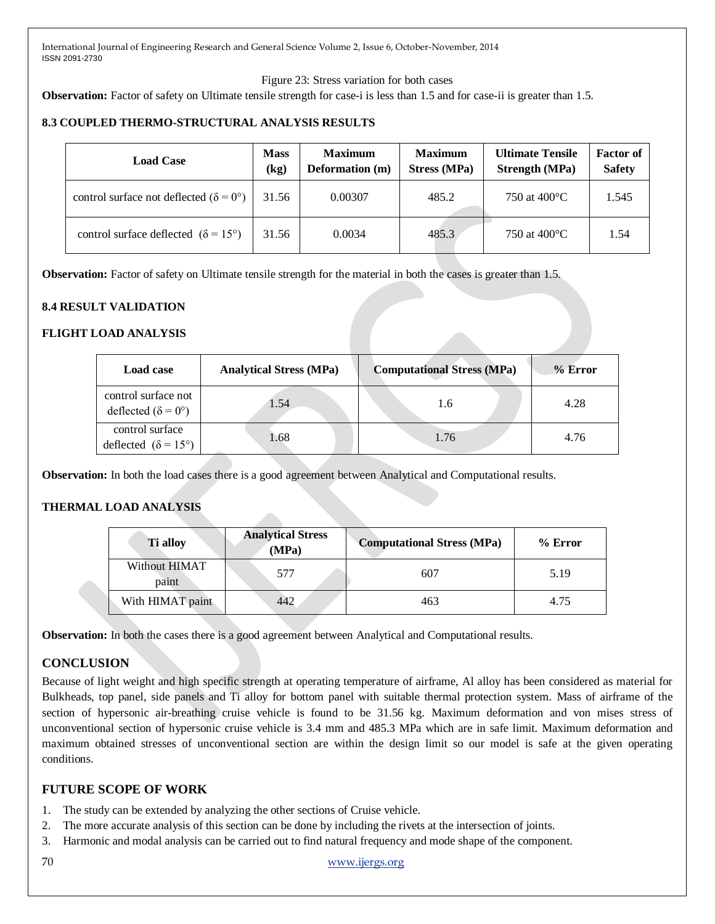Figure 23: Stress variation for both cases

**Observation:** Factor of safety on Ultimate tensile strength for case-i is less than 1.5 and for case-ii is greater than 1.5.

# **8.3 COUPLED THERMO-STRUCTURAL ANALYSIS RESULTS**

| <b>Load Case</b>                                       | <b>Mass</b><br>(kg) | <b>Maximum</b><br><b>Deformation</b> (m) | <b>Maximum</b><br><b>Stress (MPa)</b> | <b>Ultimate Tensile</b><br><b>Strength</b> (MPa) | <b>Factor of</b><br><b>Safety</b> |
|--------------------------------------------------------|---------------------|------------------------------------------|---------------------------------------|--------------------------------------------------|-----------------------------------|
| control surface not deflected ( $\delta = 0^{\circ}$ ) | 31.56               | 0.00307                                  | 485.2                                 | 750 at $400^{\circ}$ C                           | 1.545                             |
| control surface deflected $(\delta = 15^{\circ})$      | 31.56               | 0.0034                                   | 485.3                                 | 750 at $400^{\circ}$ C                           | 1.54                              |

**Observation:** Factor of safety on Ultimate tensile strength for the material in both the cases is greater than 1.5.

# **8.4 RESULT VALIDATION**

# **FLIGHT LOAD ANALYSIS**

| <b>Load case</b>                                          | <b>Analytical Stress (MPa)</b> | <b>Computational Stress (MPa)</b> | $%$ Error |
|-----------------------------------------------------------|--------------------------------|-----------------------------------|-----------|
| control surface not<br>deflected ( $\delta = 0^{\circ}$ ) | 1.54                           | 1.6                               | 4.28      |
| control surface<br>deflected $(\delta = 15^{\circ})$      | 1.68                           | 1.76                              | 4.76      |

**Observation:** In both the load cases there is a good agreement between Analytical and Computational results.

# **THERMAL LOAD ANALYSIS**

| <b>Ti</b> alloy        | <b>Analytical Stress</b><br>(MPa) | <b>Computational Stress (MPa)</b> | $%$ Error |
|------------------------|-----------------------------------|-----------------------------------|-----------|
| Without HIMAT<br>paint | 577                               | 607                               | 5.19      |
| With HIMAT paint       | 442                               | 463                               | 4.75      |

**Observation:** In both the cases there is a good agreement between Analytical and Computational results.

# **CONCLUSION**

Because of light weight and high specific strength at operating temperature of airframe, Al alloy has been considered as material for Bulkheads, top panel, side panels and Ti alloy for bottom panel with suitable thermal protection system. Mass of airframe of the section of hypersonic air-breathing cruise vehicle is found to be 31.56 kg. Maximum deformation and von mises stress of unconventional section of hypersonic cruise vehicle is 3.4 mm and 485.3 MPa which are in safe limit. Maximum deformation and maximum obtained stresses of unconventional section are within the design limit so our model is safe at the given operating conditions.

# **FUTURE SCOPE OF WORK**

- 1. The study can be extended by analyzing the other sections of Cruise vehicle.
- 2. The more accurate analysis of this section can be done by including the rivets at the intersection of joints.
- 3. Harmonic and modal analysis can be carried out to find natural frequency and mode shape of the component.